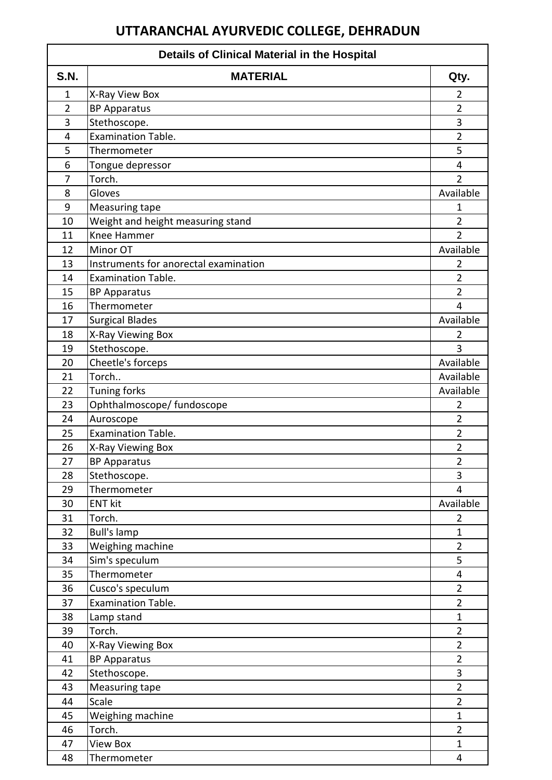## **UTTARANCHAL AYURVEDIC COLLEGE, DEHRADUN**

| <b>Details of Clinical Material in the Hospital</b> |                                       |                |  |
|-----------------------------------------------------|---------------------------------------|----------------|--|
| <b>S.N.</b>                                         | <b>MATERIAL</b>                       | Qty.           |  |
| $\mathbf{1}$                                        | X-Ray View Box                        | $\overline{2}$ |  |
| $\overline{2}$                                      | <b>BP Apparatus</b>                   | $\overline{2}$ |  |
| 3                                                   | Stethoscope.                          | 3              |  |
| 4                                                   | <b>Examination Table.</b>             | $\overline{2}$ |  |
| 5                                                   | Thermometer                           | 5              |  |
| 6                                                   | Tongue depressor                      | 4              |  |
| $\overline{7}$                                      | Torch.                                | $\overline{2}$ |  |
| 8                                                   | Gloves                                | Available      |  |
| 9                                                   | Measuring tape                        | 1              |  |
| 10                                                  | Weight and height measuring stand     | $\overline{2}$ |  |
| 11                                                  | Knee Hammer                           | $\overline{2}$ |  |
| 12                                                  | Minor OT                              | Available      |  |
| 13                                                  | Instruments for anorectal examination | 2              |  |
| 14                                                  | <b>Examination Table.</b>             | $\overline{2}$ |  |
| 15                                                  | <b>BP Apparatus</b>                   | $\overline{2}$ |  |
| 16                                                  | Thermometer                           | 4              |  |
| 17                                                  | <b>Surgical Blades</b>                | Available      |  |
| 18                                                  | X-Ray Viewing Box                     | $\overline{2}$ |  |
| 19                                                  | Stethoscope.                          | 3              |  |
| 20                                                  | Cheetle's forceps                     | Available      |  |
| 21                                                  | Torch                                 | Available      |  |
| 22                                                  | <b>Tuning forks</b>                   | Available      |  |
| 23                                                  | Ophthalmoscope/ fundoscope            | $\overline{2}$ |  |
| 24                                                  | Auroscope                             | 2              |  |
| 25                                                  | <b>Examination Table.</b>             | $\overline{2}$ |  |
| 26                                                  | X-Ray Viewing Box                     | $\overline{2}$ |  |
| 27                                                  | <b>BP Apparatus</b>                   | $\overline{2}$ |  |
| 28                                                  | Stethoscope.                          | 3              |  |
| 29                                                  | Thermometer                           | 4              |  |
| 30                                                  | <b>ENT kit</b>                        | Available      |  |
| 31                                                  | Torch.                                | $\overline{2}$ |  |
| 32                                                  | <b>Bull's lamp</b>                    | $\mathbf{1}$   |  |
| 33                                                  | Weighing machine                      | $\overline{2}$ |  |
| 34                                                  | Sim's speculum                        | 5              |  |
| 35                                                  | Thermometer                           | 4              |  |
| 36                                                  | Cusco's speculum                      | $\overline{2}$ |  |
| 37                                                  | Examination Table.                    | $\overline{2}$ |  |
| 38                                                  | Lamp stand                            | $\mathbf{1}$   |  |
| 39                                                  | Torch.                                | $\overline{2}$ |  |
| 40                                                  | X-Ray Viewing Box                     | $\overline{2}$ |  |
| 41                                                  | <b>BP Apparatus</b>                   | $\overline{2}$ |  |
| 42                                                  | Stethoscope.                          | 3              |  |
| 43                                                  | Measuring tape                        | $\overline{2}$ |  |
| 44                                                  | Scale                                 | $\overline{2}$ |  |
| 45                                                  | Weighing machine                      | $\mathbf{1}$   |  |
| 46                                                  | Torch.                                | $\overline{2}$ |  |
| 47                                                  | <b>View Box</b>                       | $\mathbf{1}$   |  |
| 48                                                  | Thermometer                           | 4              |  |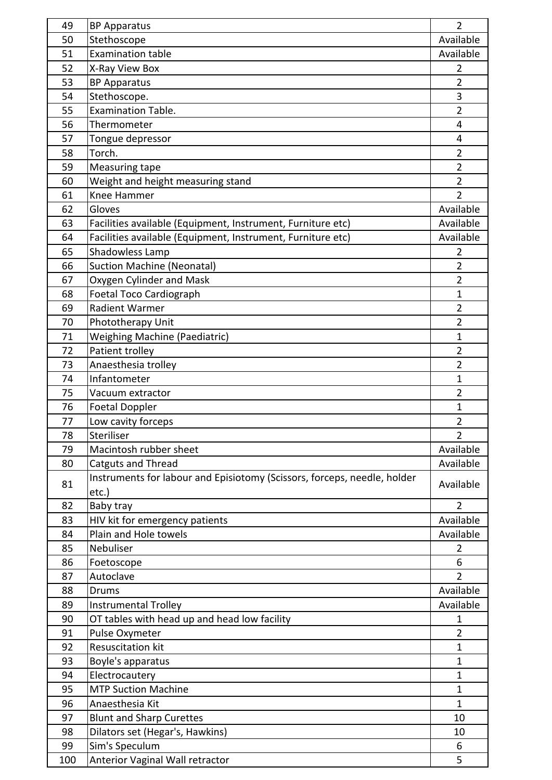| 50<br>Available<br>Stethoscope<br>51<br><b>Examination table</b><br>Available<br>X-Ray View Box<br>52<br>2<br>53<br>$\overline{2}$<br><b>BP Apparatus</b><br>3<br>Stethoscope.<br>54<br><b>Examination Table.</b><br>$\overline{2}$<br>55<br>56<br>Thermometer<br>$\overline{4}$<br>57<br>Tongue depressor<br>4<br>Torch.<br>58<br>$\overline{2}$<br>$\overline{2}$<br>59<br>Measuring tape<br>Weight and height measuring stand<br>$\overline{2}$<br>60<br>$\overline{2}$<br>61<br>Knee Hammer<br>62<br>Available<br>Gloves<br>Available<br>63<br>Facilities available (Equipment, Instrument, Furniture etc)<br>64<br>Facilities available (Equipment, Instrument, Furniture etc)<br>Available<br>65<br>Shadowless Lamp<br>2<br><b>Suction Machine (Neonatal)</b><br>$\overline{2}$<br>66<br>67<br>Oxygen Cylinder and Mask<br>$\overline{2}$<br>Foetal Toco Cardiograph<br>68<br>$\mathbf{1}$<br>Radient Warmer<br>69<br>$\overline{2}$<br>$\overline{2}$<br>70<br>Phototherapy Unit<br><b>Weighing Machine (Paediatric)</b><br>71<br>$\mathbf{1}$<br>Patient trolley<br>$\overline{2}$<br>72<br>73<br>Anaesthesia trolley<br>$\overline{2}$<br>Infantometer<br>$\mathbf{1}$<br>74<br>$\overline{2}$<br>75<br>Vacuum extractor<br>76<br>$\mathbf{1}$<br><b>Foetal Doppler</b><br>Low cavity forceps<br>$\overline{2}$<br>77<br>Steriliser<br>78<br>2<br>Available<br>79<br>Macintosh rubber sheet<br>Available<br>80<br>Catguts and Thread<br>Instruments for labour and Episiotomy (Scissors, forceps, needle, holder<br>Available<br>81<br>etc.)<br>82<br>Baby tray<br>$\overline{2}$<br>Available<br>83<br>HIV kit for emergency patients<br>84<br>Plain and Hole towels<br>Available<br>85<br>Nebuliser<br>$\overline{2}$<br>86<br>6<br>Foetoscope<br>Autoclave<br>87<br>$\overline{2}$<br>Available<br>88<br>Drums<br>89<br>Available<br>Instrumental Trolley<br>OT tables with head up and head low facility<br>90<br>1<br>$\overline{2}$<br>91<br>Pulse Oxymeter<br>Resuscitation kit<br>92<br>1<br>93<br>1<br>Boyle's apparatus<br>94<br>Electrocautery<br>$\mathbf{1}$<br><b>MTP Suction Machine</b><br>95<br>$\mathbf{1}$<br>96<br>Anaesthesia Kit<br>$\mathbf{1}$<br>97<br><b>Blunt and Sharp Curettes</b><br>10<br>Dilators set (Hegar's, Hawkins)<br>98<br>10 | 49 | <b>BP Apparatus</b> | $\overline{2}$ |
|-------------------------------------------------------------------------------------------------------------------------------------------------------------------------------------------------------------------------------------------------------------------------------------------------------------------------------------------------------------------------------------------------------------------------------------------------------------------------------------------------------------------------------------------------------------------------------------------------------------------------------------------------------------------------------------------------------------------------------------------------------------------------------------------------------------------------------------------------------------------------------------------------------------------------------------------------------------------------------------------------------------------------------------------------------------------------------------------------------------------------------------------------------------------------------------------------------------------------------------------------------------------------------------------------------------------------------------------------------------------------------------------------------------------------------------------------------------------------------------------------------------------------------------------------------------------------------------------------------------------------------------------------------------------------------------------------------------------------------------------------------------------------------------------------------------------------------------------------------------------------------------------------------------------------------------------------------------------------------------------------------------------------------------------------------------------------------------------------------------------------------------------------------------------------------------------------------------------------------------------------------------------------------|----|---------------------|----------------|
|                                                                                                                                                                                                                                                                                                                                                                                                                                                                                                                                                                                                                                                                                                                                                                                                                                                                                                                                                                                                                                                                                                                                                                                                                                                                                                                                                                                                                                                                                                                                                                                                                                                                                                                                                                                                                                                                                                                                                                                                                                                                                                                                                                                                                                                                               |    |                     |                |
|                                                                                                                                                                                                                                                                                                                                                                                                                                                                                                                                                                                                                                                                                                                                                                                                                                                                                                                                                                                                                                                                                                                                                                                                                                                                                                                                                                                                                                                                                                                                                                                                                                                                                                                                                                                                                                                                                                                                                                                                                                                                                                                                                                                                                                                                               |    |                     |                |
|                                                                                                                                                                                                                                                                                                                                                                                                                                                                                                                                                                                                                                                                                                                                                                                                                                                                                                                                                                                                                                                                                                                                                                                                                                                                                                                                                                                                                                                                                                                                                                                                                                                                                                                                                                                                                                                                                                                                                                                                                                                                                                                                                                                                                                                                               |    |                     |                |
|                                                                                                                                                                                                                                                                                                                                                                                                                                                                                                                                                                                                                                                                                                                                                                                                                                                                                                                                                                                                                                                                                                                                                                                                                                                                                                                                                                                                                                                                                                                                                                                                                                                                                                                                                                                                                                                                                                                                                                                                                                                                                                                                                                                                                                                                               |    |                     |                |
|                                                                                                                                                                                                                                                                                                                                                                                                                                                                                                                                                                                                                                                                                                                                                                                                                                                                                                                                                                                                                                                                                                                                                                                                                                                                                                                                                                                                                                                                                                                                                                                                                                                                                                                                                                                                                                                                                                                                                                                                                                                                                                                                                                                                                                                                               |    |                     |                |
|                                                                                                                                                                                                                                                                                                                                                                                                                                                                                                                                                                                                                                                                                                                                                                                                                                                                                                                                                                                                                                                                                                                                                                                                                                                                                                                                                                                                                                                                                                                                                                                                                                                                                                                                                                                                                                                                                                                                                                                                                                                                                                                                                                                                                                                                               |    |                     |                |
|                                                                                                                                                                                                                                                                                                                                                                                                                                                                                                                                                                                                                                                                                                                                                                                                                                                                                                                                                                                                                                                                                                                                                                                                                                                                                                                                                                                                                                                                                                                                                                                                                                                                                                                                                                                                                                                                                                                                                                                                                                                                                                                                                                                                                                                                               |    |                     |                |
|                                                                                                                                                                                                                                                                                                                                                                                                                                                                                                                                                                                                                                                                                                                                                                                                                                                                                                                                                                                                                                                                                                                                                                                                                                                                                                                                                                                                                                                                                                                                                                                                                                                                                                                                                                                                                                                                                                                                                                                                                                                                                                                                                                                                                                                                               |    |                     |                |
|                                                                                                                                                                                                                                                                                                                                                                                                                                                                                                                                                                                                                                                                                                                                                                                                                                                                                                                                                                                                                                                                                                                                                                                                                                                                                                                                                                                                                                                                                                                                                                                                                                                                                                                                                                                                                                                                                                                                                                                                                                                                                                                                                                                                                                                                               |    |                     |                |
|                                                                                                                                                                                                                                                                                                                                                                                                                                                                                                                                                                                                                                                                                                                                                                                                                                                                                                                                                                                                                                                                                                                                                                                                                                                                                                                                                                                                                                                                                                                                                                                                                                                                                                                                                                                                                                                                                                                                                                                                                                                                                                                                                                                                                                                                               |    |                     |                |
|                                                                                                                                                                                                                                                                                                                                                                                                                                                                                                                                                                                                                                                                                                                                                                                                                                                                                                                                                                                                                                                                                                                                                                                                                                                                                                                                                                                                                                                                                                                                                                                                                                                                                                                                                                                                                                                                                                                                                                                                                                                                                                                                                                                                                                                                               |    |                     |                |
|                                                                                                                                                                                                                                                                                                                                                                                                                                                                                                                                                                                                                                                                                                                                                                                                                                                                                                                                                                                                                                                                                                                                                                                                                                                                                                                                                                                                                                                                                                                                                                                                                                                                                                                                                                                                                                                                                                                                                                                                                                                                                                                                                                                                                                                                               |    |                     |                |
|                                                                                                                                                                                                                                                                                                                                                                                                                                                                                                                                                                                                                                                                                                                                                                                                                                                                                                                                                                                                                                                                                                                                                                                                                                                                                                                                                                                                                                                                                                                                                                                                                                                                                                                                                                                                                                                                                                                                                                                                                                                                                                                                                                                                                                                                               |    |                     |                |
|                                                                                                                                                                                                                                                                                                                                                                                                                                                                                                                                                                                                                                                                                                                                                                                                                                                                                                                                                                                                                                                                                                                                                                                                                                                                                                                                                                                                                                                                                                                                                                                                                                                                                                                                                                                                                                                                                                                                                                                                                                                                                                                                                                                                                                                                               |    |                     |                |
|                                                                                                                                                                                                                                                                                                                                                                                                                                                                                                                                                                                                                                                                                                                                                                                                                                                                                                                                                                                                                                                                                                                                                                                                                                                                                                                                                                                                                                                                                                                                                                                                                                                                                                                                                                                                                                                                                                                                                                                                                                                                                                                                                                                                                                                                               |    |                     |                |
|                                                                                                                                                                                                                                                                                                                                                                                                                                                                                                                                                                                                                                                                                                                                                                                                                                                                                                                                                                                                                                                                                                                                                                                                                                                                                                                                                                                                                                                                                                                                                                                                                                                                                                                                                                                                                                                                                                                                                                                                                                                                                                                                                                                                                                                                               |    |                     |                |
|                                                                                                                                                                                                                                                                                                                                                                                                                                                                                                                                                                                                                                                                                                                                                                                                                                                                                                                                                                                                                                                                                                                                                                                                                                                                                                                                                                                                                                                                                                                                                                                                                                                                                                                                                                                                                                                                                                                                                                                                                                                                                                                                                                                                                                                                               |    |                     |                |
|                                                                                                                                                                                                                                                                                                                                                                                                                                                                                                                                                                                                                                                                                                                                                                                                                                                                                                                                                                                                                                                                                                                                                                                                                                                                                                                                                                                                                                                                                                                                                                                                                                                                                                                                                                                                                                                                                                                                                                                                                                                                                                                                                                                                                                                                               |    |                     |                |
|                                                                                                                                                                                                                                                                                                                                                                                                                                                                                                                                                                                                                                                                                                                                                                                                                                                                                                                                                                                                                                                                                                                                                                                                                                                                                                                                                                                                                                                                                                                                                                                                                                                                                                                                                                                                                                                                                                                                                                                                                                                                                                                                                                                                                                                                               |    |                     |                |
|                                                                                                                                                                                                                                                                                                                                                                                                                                                                                                                                                                                                                                                                                                                                                                                                                                                                                                                                                                                                                                                                                                                                                                                                                                                                                                                                                                                                                                                                                                                                                                                                                                                                                                                                                                                                                                                                                                                                                                                                                                                                                                                                                                                                                                                                               |    |                     |                |
|                                                                                                                                                                                                                                                                                                                                                                                                                                                                                                                                                                                                                                                                                                                                                                                                                                                                                                                                                                                                                                                                                                                                                                                                                                                                                                                                                                                                                                                                                                                                                                                                                                                                                                                                                                                                                                                                                                                                                                                                                                                                                                                                                                                                                                                                               |    |                     |                |
|                                                                                                                                                                                                                                                                                                                                                                                                                                                                                                                                                                                                                                                                                                                                                                                                                                                                                                                                                                                                                                                                                                                                                                                                                                                                                                                                                                                                                                                                                                                                                                                                                                                                                                                                                                                                                                                                                                                                                                                                                                                                                                                                                                                                                                                                               |    |                     |                |
|                                                                                                                                                                                                                                                                                                                                                                                                                                                                                                                                                                                                                                                                                                                                                                                                                                                                                                                                                                                                                                                                                                                                                                                                                                                                                                                                                                                                                                                                                                                                                                                                                                                                                                                                                                                                                                                                                                                                                                                                                                                                                                                                                                                                                                                                               |    |                     |                |
|                                                                                                                                                                                                                                                                                                                                                                                                                                                                                                                                                                                                                                                                                                                                                                                                                                                                                                                                                                                                                                                                                                                                                                                                                                                                                                                                                                                                                                                                                                                                                                                                                                                                                                                                                                                                                                                                                                                                                                                                                                                                                                                                                                                                                                                                               |    |                     |                |
|                                                                                                                                                                                                                                                                                                                                                                                                                                                                                                                                                                                                                                                                                                                                                                                                                                                                                                                                                                                                                                                                                                                                                                                                                                                                                                                                                                                                                                                                                                                                                                                                                                                                                                                                                                                                                                                                                                                                                                                                                                                                                                                                                                                                                                                                               |    |                     |                |
|                                                                                                                                                                                                                                                                                                                                                                                                                                                                                                                                                                                                                                                                                                                                                                                                                                                                                                                                                                                                                                                                                                                                                                                                                                                                                                                                                                                                                                                                                                                                                                                                                                                                                                                                                                                                                                                                                                                                                                                                                                                                                                                                                                                                                                                                               |    |                     |                |
|                                                                                                                                                                                                                                                                                                                                                                                                                                                                                                                                                                                                                                                                                                                                                                                                                                                                                                                                                                                                                                                                                                                                                                                                                                                                                                                                                                                                                                                                                                                                                                                                                                                                                                                                                                                                                                                                                                                                                                                                                                                                                                                                                                                                                                                                               |    |                     |                |
|                                                                                                                                                                                                                                                                                                                                                                                                                                                                                                                                                                                                                                                                                                                                                                                                                                                                                                                                                                                                                                                                                                                                                                                                                                                                                                                                                                                                                                                                                                                                                                                                                                                                                                                                                                                                                                                                                                                                                                                                                                                                                                                                                                                                                                                                               |    |                     |                |
|                                                                                                                                                                                                                                                                                                                                                                                                                                                                                                                                                                                                                                                                                                                                                                                                                                                                                                                                                                                                                                                                                                                                                                                                                                                                                                                                                                                                                                                                                                                                                                                                                                                                                                                                                                                                                                                                                                                                                                                                                                                                                                                                                                                                                                                                               |    |                     |                |
|                                                                                                                                                                                                                                                                                                                                                                                                                                                                                                                                                                                                                                                                                                                                                                                                                                                                                                                                                                                                                                                                                                                                                                                                                                                                                                                                                                                                                                                                                                                                                                                                                                                                                                                                                                                                                                                                                                                                                                                                                                                                                                                                                                                                                                                                               |    |                     |                |
|                                                                                                                                                                                                                                                                                                                                                                                                                                                                                                                                                                                                                                                                                                                                                                                                                                                                                                                                                                                                                                                                                                                                                                                                                                                                                                                                                                                                                                                                                                                                                                                                                                                                                                                                                                                                                                                                                                                                                                                                                                                                                                                                                                                                                                                                               |    |                     |                |
|                                                                                                                                                                                                                                                                                                                                                                                                                                                                                                                                                                                                                                                                                                                                                                                                                                                                                                                                                                                                                                                                                                                                                                                                                                                                                                                                                                                                                                                                                                                                                                                                                                                                                                                                                                                                                                                                                                                                                                                                                                                                                                                                                                                                                                                                               |    |                     |                |
|                                                                                                                                                                                                                                                                                                                                                                                                                                                                                                                                                                                                                                                                                                                                                                                                                                                                                                                                                                                                                                                                                                                                                                                                                                                                                                                                                                                                                                                                                                                                                                                                                                                                                                                                                                                                                                                                                                                                                                                                                                                                                                                                                                                                                                                                               |    |                     |                |
|                                                                                                                                                                                                                                                                                                                                                                                                                                                                                                                                                                                                                                                                                                                                                                                                                                                                                                                                                                                                                                                                                                                                                                                                                                                                                                                                                                                                                                                                                                                                                                                                                                                                                                                                                                                                                                                                                                                                                                                                                                                                                                                                                                                                                                                                               |    |                     |                |
|                                                                                                                                                                                                                                                                                                                                                                                                                                                                                                                                                                                                                                                                                                                                                                                                                                                                                                                                                                                                                                                                                                                                                                                                                                                                                                                                                                                                                                                                                                                                                                                                                                                                                                                                                                                                                                                                                                                                                                                                                                                                                                                                                                                                                                                                               |    |                     |                |
|                                                                                                                                                                                                                                                                                                                                                                                                                                                                                                                                                                                                                                                                                                                                                                                                                                                                                                                                                                                                                                                                                                                                                                                                                                                                                                                                                                                                                                                                                                                                                                                                                                                                                                                                                                                                                                                                                                                                                                                                                                                                                                                                                                                                                                                                               |    |                     |                |
|                                                                                                                                                                                                                                                                                                                                                                                                                                                                                                                                                                                                                                                                                                                                                                                                                                                                                                                                                                                                                                                                                                                                                                                                                                                                                                                                                                                                                                                                                                                                                                                                                                                                                                                                                                                                                                                                                                                                                                                                                                                                                                                                                                                                                                                                               |    |                     |                |
|                                                                                                                                                                                                                                                                                                                                                                                                                                                                                                                                                                                                                                                                                                                                                                                                                                                                                                                                                                                                                                                                                                                                                                                                                                                                                                                                                                                                                                                                                                                                                                                                                                                                                                                                                                                                                                                                                                                                                                                                                                                                                                                                                                                                                                                                               |    |                     |                |
|                                                                                                                                                                                                                                                                                                                                                                                                                                                                                                                                                                                                                                                                                                                                                                                                                                                                                                                                                                                                                                                                                                                                                                                                                                                                                                                                                                                                                                                                                                                                                                                                                                                                                                                                                                                                                                                                                                                                                                                                                                                                                                                                                                                                                                                                               |    |                     |                |
|                                                                                                                                                                                                                                                                                                                                                                                                                                                                                                                                                                                                                                                                                                                                                                                                                                                                                                                                                                                                                                                                                                                                                                                                                                                                                                                                                                                                                                                                                                                                                                                                                                                                                                                                                                                                                                                                                                                                                                                                                                                                                                                                                                                                                                                                               |    |                     |                |
|                                                                                                                                                                                                                                                                                                                                                                                                                                                                                                                                                                                                                                                                                                                                                                                                                                                                                                                                                                                                                                                                                                                                                                                                                                                                                                                                                                                                                                                                                                                                                                                                                                                                                                                                                                                                                                                                                                                                                                                                                                                                                                                                                                                                                                                                               |    |                     |                |
|                                                                                                                                                                                                                                                                                                                                                                                                                                                                                                                                                                                                                                                                                                                                                                                                                                                                                                                                                                                                                                                                                                                                                                                                                                                                                                                                                                                                                                                                                                                                                                                                                                                                                                                                                                                                                                                                                                                                                                                                                                                                                                                                                                                                                                                                               |    |                     |                |
|                                                                                                                                                                                                                                                                                                                                                                                                                                                                                                                                                                                                                                                                                                                                                                                                                                                                                                                                                                                                                                                                                                                                                                                                                                                                                                                                                                                                                                                                                                                                                                                                                                                                                                                                                                                                                                                                                                                                                                                                                                                                                                                                                                                                                                                                               |    |                     |                |
|                                                                                                                                                                                                                                                                                                                                                                                                                                                                                                                                                                                                                                                                                                                                                                                                                                                                                                                                                                                                                                                                                                                                                                                                                                                                                                                                                                                                                                                                                                                                                                                                                                                                                                                                                                                                                                                                                                                                                                                                                                                                                                                                                                                                                                                                               |    |                     |                |
|                                                                                                                                                                                                                                                                                                                                                                                                                                                                                                                                                                                                                                                                                                                                                                                                                                                                                                                                                                                                                                                                                                                                                                                                                                                                                                                                                                                                                                                                                                                                                                                                                                                                                                                                                                                                                                                                                                                                                                                                                                                                                                                                                                                                                                                                               |    |                     |                |
|                                                                                                                                                                                                                                                                                                                                                                                                                                                                                                                                                                                                                                                                                                                                                                                                                                                                                                                                                                                                                                                                                                                                                                                                                                                                                                                                                                                                                                                                                                                                                                                                                                                                                                                                                                                                                                                                                                                                                                                                                                                                                                                                                                                                                                                                               |    |                     |                |
|                                                                                                                                                                                                                                                                                                                                                                                                                                                                                                                                                                                                                                                                                                                                                                                                                                                                                                                                                                                                                                                                                                                                                                                                                                                                                                                                                                                                                                                                                                                                                                                                                                                                                                                                                                                                                                                                                                                                                                                                                                                                                                                                                                                                                                                                               |    |                     |                |
|                                                                                                                                                                                                                                                                                                                                                                                                                                                                                                                                                                                                                                                                                                                                                                                                                                                                                                                                                                                                                                                                                                                                                                                                                                                                                                                                                                                                                                                                                                                                                                                                                                                                                                                                                                                                                                                                                                                                                                                                                                                                                                                                                                                                                                                                               |    |                     |                |
|                                                                                                                                                                                                                                                                                                                                                                                                                                                                                                                                                                                                                                                                                                                                                                                                                                                                                                                                                                                                                                                                                                                                                                                                                                                                                                                                                                                                                                                                                                                                                                                                                                                                                                                                                                                                                                                                                                                                                                                                                                                                                                                                                                                                                                                                               |    |                     |                |
|                                                                                                                                                                                                                                                                                                                                                                                                                                                                                                                                                                                                                                                                                                                                                                                                                                                                                                                                                                                                                                                                                                                                                                                                                                                                                                                                                                                                                                                                                                                                                                                                                                                                                                                                                                                                                                                                                                                                                                                                                                                                                                                                                                                                                                                                               |    |                     |                |
| Sim's Speculum<br>99<br>6                                                                                                                                                                                                                                                                                                                                                                                                                                                                                                                                                                                                                                                                                                                                                                                                                                                                                                                                                                                                                                                                                                                                                                                                                                                                                                                                                                                                                                                                                                                                                                                                                                                                                                                                                                                                                                                                                                                                                                                                                                                                                                                                                                                                                                                     |    |                     |                |
| Anterior Vaginal Wall retractor<br>5<br>100                                                                                                                                                                                                                                                                                                                                                                                                                                                                                                                                                                                                                                                                                                                                                                                                                                                                                                                                                                                                                                                                                                                                                                                                                                                                                                                                                                                                                                                                                                                                                                                                                                                                                                                                                                                                                                                                                                                                                                                                                                                                                                                                                                                                                                   |    |                     |                |